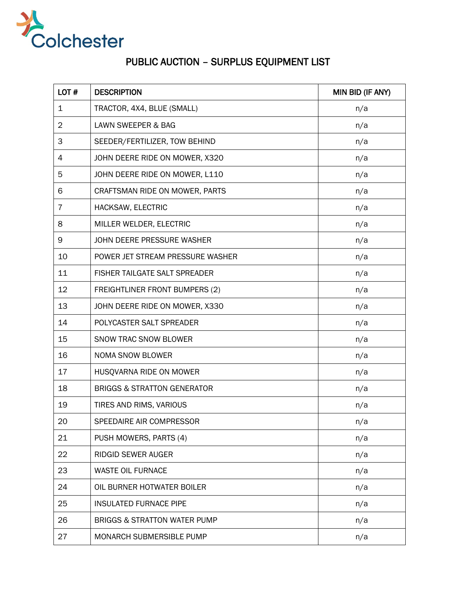

## PUBLIC AUCTION – SURPLUS EQUIPMENT LIST

| LOT#           | <b>DESCRIPTION</b>                      | MIN BID (IF ANY) |
|----------------|-----------------------------------------|------------------|
| $\mathbf{1}$   | TRACTOR, 4X4, BLUE (SMALL)              | n/a              |
| $\overline{2}$ | LAWN SWEEPER & BAG                      | n/a              |
| 3              | SEEDER/FERTILIZER, TOW BEHIND           | n/a              |
| 4              | JOHN DEERE RIDE ON MOWER, X320          | n/a              |
| 5              | JOHN DEERE RIDE ON MOWER, L110          | n/a              |
| 6              | CRAFTSMAN RIDE ON MOWER, PARTS          | n/a              |
| $\overline{7}$ | HACKSAW, ELECTRIC                       | n/a              |
| 8              | MILLER WELDER, ELECTRIC                 | n/a              |
| 9              | JOHN DEERE PRESSURE WASHER              | n/a              |
| 10             | POWER JET STREAM PRESSURE WASHER        | n/a              |
| 11             | FISHER TAILGATE SALT SPREADER           | n/a              |
| 12             | <b>FREIGHTLINER FRONT BUMPERS (2)</b>   | n/a              |
| 13             | JOHN DEERE RIDE ON MOWER, X330          | n/a              |
| 14             | POLYCASTER SALT SPREADER                | n/a              |
| 15             | <b>SNOW TRAC SNOW BLOWER</b>            | n/a              |
| 16             | <b>NOMA SNOW BLOWER</b>                 | n/a              |
| 17             | HUSQVARNA RIDE ON MOWER                 | n/a              |
| 18             | <b>BRIGGS &amp; STRATTON GENERATOR</b>  | n/a              |
| 19             | TIRES AND RIMS, VARIOUS                 | n/a              |
| 20             | SPEEDAIRE AIR COMPRESSOR                | n/a              |
| 21             | PUSH MOWERS, PARTS (4)                  | n/a              |
| 22             | <b>RIDGID SEWER AUGER</b>               | n/a              |
| 23             | <b>WASTE OIL FURNACE</b>                | n/a              |
| 24             | OIL BURNER HOTWATER BOILER              | n/a              |
| 25             | <b>INSULATED FURNACE PIPE</b>           | n/a              |
| 26             | <b>BRIGGS &amp; STRATTON WATER PUMP</b> | n/a              |
| 27             | MONARCH SUBMERSIBLE PUMP                | n/a              |